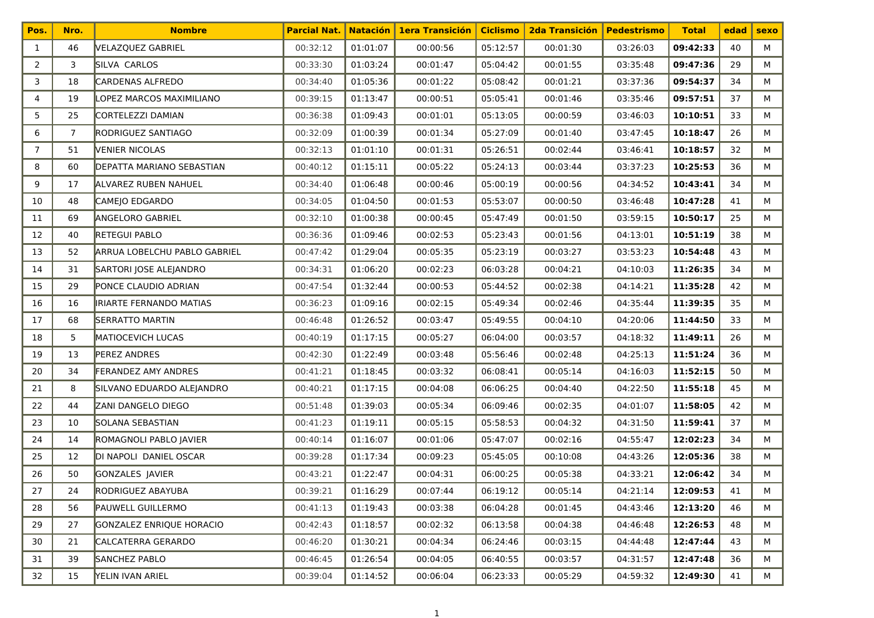| Pos.           | Nro.           | <b>Nombre</b>                | <b>Parcial Nat.</b> | <b>Natación</b> | <b>1era Transición</b> | <b>Ciclismo</b> | <b>2da Transición</b> | <b>Pedestrismo</b> | <b>Total</b> | edad | <b>sexo</b> |
|----------------|----------------|------------------------------|---------------------|-----------------|------------------------|-----------------|-----------------------|--------------------|--------------|------|-------------|
| $\mathbf{1}$   | 46             | VELAZQUEZ GABRIEL            | 00:32:12            | 01:01:07        | 00:00:56               | 05:12:57        | 00:01:30              | 03:26:03           | 09:42:33     | 40   | М           |
| $\overline{2}$ | 3              | SILVA CARLOS                 | 00:33:30            | 01:03:24        | 00:01:47               | 05:04:42        | 00:01:55              | 03:35:48           | 09:47:36     | 29   | М           |
| 3              | 18             | <b>CARDENAS ALFREDO</b>      | 00:34:40            | 01:05:36        | 00:01:22               | 05:08:42        | 00:01:21              | 03:37:36           | 09:54:37     | 34   | М           |
| 4              | 19             | LOPEZ MARCOS MAXIMILIANO     | 00:39:15            | 01:13:47        | 00:00:51               | 05:05:41        | 00:01:46              | 03:35:46           | 09:57:51     | 37   | M           |
| 5              | 25             | CORTELEZZI DAMIAN            | 00:36:38            | 01:09:43        | 00:01:01               | 05:13:05        | 00:00:59              | 03:46:03           | 10:10:51     | 33   | М           |
| 6              | $\overline{7}$ | RODRIGUEZ SANTIAGO           | 00:32:09            | 01:00:39        | 00:01:34               | 05:27:09        | 00:01:40              | 03:47:45           | 10:18:47     | 26   | М           |
| 7              | 51             | <b>VENIER NICOLAS</b>        | 00:32:13            | 01:01:10        | 00:01:31               | 05:26:51        | 00:02:44              | 03:46:41           | 10:18:57     | 32   | М           |
| 8              | 60             | DEPATTA MARIANO SEBASTIAN    | 00:40:12            | 01:15:11        | 00:05:22               | 05:24:13        | 00:03:44              | 03:37:23           | 10:25:53     | 36   | М           |
| 9              | 17             | ALVAREZ RUBEN NAHUEL         | 00:34:40            | 01:06:48        | 00:00:46               | 05:00:19        | 00:00:56              | 04:34:52           | 10:43:41     | 34   | М           |
| 10             | 48             | CAMEJO EDGARDO               | 00:34:05            | 01:04:50        | 00:01:53               | 05:53:07        | 00:00:50              | 03:46:48           | 10:47:28     | 41   | M           |
| 11             | 69             | <b>ANGELORO GABRIEL</b>      | 00:32:10            | 01:00:38        | 00:00:45               | 05:47:49        | 00:01:50              | 03:59:15           | 10:50:17     | 25   | м           |
| 12             | 40             | <b>RETEGUI PABLO</b>         | 00:36:36            | 01:09:46        | 00:02:53               | 05:23:43        | 00:01:56              | 04:13:01           | 10:51:19     | 38   | М           |
| 13             | 52             | ARRUA LOBELCHU PABLO GABRIEL | 00:47:42            | 01:29:04        | 00:05:35               | 05:23:19        | 00:03:27              | 03:53:23           | 10:54:48     | 43   | М           |
| 14             | 31             | SARTORI JOSE ALEJANDRO       | 00:34:31            | 01:06:20        | 00:02:23               | 06:03:28        | 00:04:21              | 04:10:03           | 11:26:35     | 34   | М           |
| 15             | 29             | PONCE CLAUDIO ADRIAN         | 00:47:54            | 01:32:44        | 00:00:53               | 05:44:52        | 00:02:38              | 04:14:21           | 11:35:28     | 42   | м           |
| 16             | 16             | IRIARTE FERNANDO MATIAS      | 00:36:23            | 01:09:16        | 00:02:15               | 05:49:34        | 00:02:46              | 04:35:44           | 11:39:35     | 35   | М           |
| 17             | 68             | <b>SERRATTO MARTIN</b>       | 00:46:48            | 01:26:52        | 00:03:47               | 05:49:55        | 00:04:10              | 04:20:06           | 11:44:50     | 33   | М           |
| 18             | 5              | MATIOCEVICH LUCAS            | 00:40:19            | 01:17:15        | 00:05:27               | 06:04:00        | 00:03:57              | 04:18:32           | 11:49:11     | 26   | м           |
| 19             | 13             | <b>PEREZ ANDRES</b>          | 00:42:30            | 01:22:49        | 00:03:48               | 05:56:46        | 00:02:48              | 04:25:13           | 11:51:24     | 36   | М           |
| 20             | 34             | <b>FERANDEZ AMY ANDRES</b>   | 00:41:21            | 01:18:45        | 00:03:32               | 06:08:41        | 00:05:14              | 04:16:03           | 11:52:15     | 50   | М           |
| 21             | 8              | SILVANO EDUARDO ALEJANDRO    | 00:40:21            | 01:17:15        | 00:04:08               | 06:06:25        | 00:04:40              | 04:22:50           | 11:55:18     | 45   | М           |
| 22             | 44             | <b>ZANI DANGELO DIEGO</b>    | 00:51:48            | 01:39:03        | 00:05:34               | 06:09:46        | 00:02:35              | 04:01:07           | 11:58:05     | 42   | м           |
| 23             | 10             | SOLANA SEBASTIAN             | 00:41:23            | 01:19:11        | 00:05:15               | 05:58:53        | 00:04:32              | 04:31:50           | 11:59:41     | 37   | М           |
| 24             | 14             | ROMAGNOLI PABLO JAVIER       | 00:40:14            | 01:16:07        | 00:01:06               | 05:47:07        | 00:02:16              | 04:55:47           | 12:02:23     | 34   | М           |
| 25             | 12             | DI NAPOLI DANIEL OSCAR       | 00:39:28            | 01:17:34        | 00:09:23               | 05:45:05        | 00:10:08              | 04:43:26           | 12:05:36     | 38   | М           |
| 26             | 50             | GONZALES JAVIER              | 00:43:21            | 01:22:47        | 00:04:31               | 06:00:25        | 00:05:38              | 04:33:21           | 12:06:42     | 34   | м           |
| 27             | 24             | RODRIGUEZ ABAYUBA            | 00:39:21            | 01:16:29        | 00:07:44               | 06:19:12        | 00:05:14              | 04:21:14           | 12:09:53     | 41   | М           |
| 28             | 56             | <b>PAUWELL GUILLERMO</b>     | 00:41:13            | 01:19:43        | 00:03:38               | 06:04:28        | 00:01:45              | 04:43:46           | 12:13:20     | 46   | м           |
| 29             | 27             | GONZALEZ ENRIQUE HORACIO     | 00:42:43            | 01:18:57        | 00:02:32               | 06:13:58        | 00:04:38              | 04:46:48           | 12:26:53     | 48   | м           |
| 30             | 21             | CALCATERRA GERARDO           | 00:46:20            | 01:30:21        | 00:04:34               | 06:24:46        | 00:03:15              | 04:44:48           | 12:47:44     | 43   | м           |
| 31             | 39             | SANCHEZ PABLO                | 00:46:45            | 01:26:54        | 00:04:05               | 06:40:55        | 00:03:57              | 04:31:57           | 12:47:48     | 36   | м           |
| 32             | 15             | YELIN IVAN ARIEL             | 00:39:04            | 01:14:52        | 00:06:04               | 06:23:33        | 00:05:29              | 04:59:32           | 12:49:30     | 41   | М           |